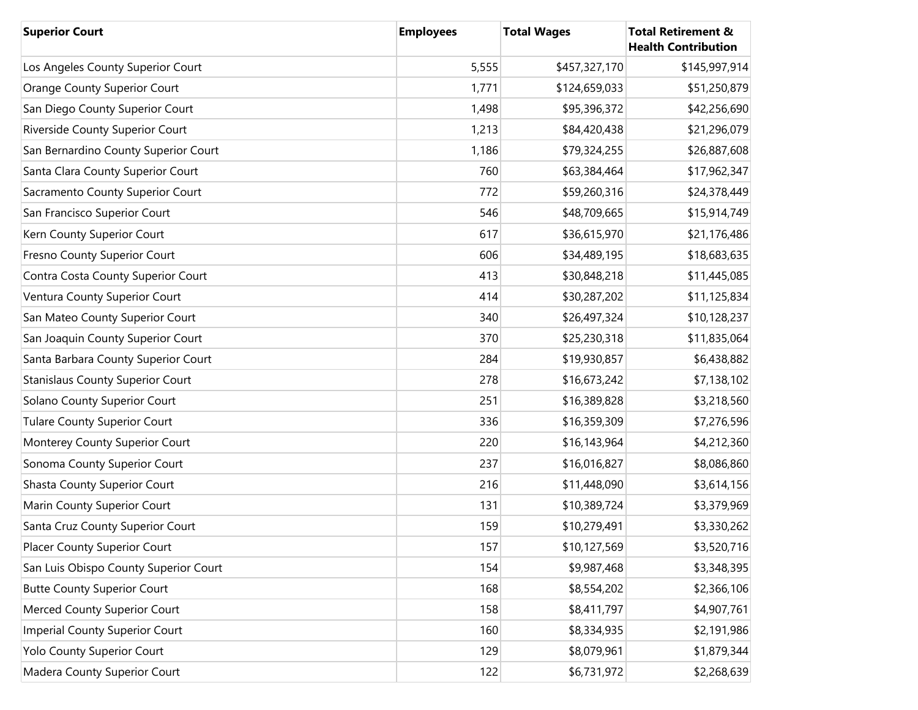| <b>Superior Court</b>                   | <b>Employees</b> | <b>Total Wages</b> | <b>Total Retirement &amp;</b><br><b>Health Contribution</b> |
|-----------------------------------------|------------------|--------------------|-------------------------------------------------------------|
| Los Angeles County Superior Court       | 5,555            | \$457,327,170      | \$145,997,914                                               |
| <b>Orange County Superior Court</b>     | 1,771            | \$124,659,033      | \$51,250,879                                                |
| San Diego County Superior Court         | 1,498            | \$95,396,372       | \$42,256,690                                                |
| Riverside County Superior Court         | 1,213            | \$84,420,438       | \$21,296,079                                                |
| San Bernardino County Superior Court    | 1,186            | \$79,324,255       | \$26,887,608                                                |
| Santa Clara County Superior Court       | 760              | \$63,384,464       | \$17,962,347                                                |
| Sacramento County Superior Court        | 772              | \$59,260,316       | \$24,378,449                                                |
| San Francisco Superior Court            | 546              | \$48,709,665       | \$15,914,749                                                |
| Kern County Superior Court              | 617              | \$36,615,970       | \$21,176,486                                                |
| Fresno County Superior Court            | 606              | \$34,489,195       | \$18,683,635                                                |
| Contra Costa County Superior Court      | 413              | \$30,848,218       | \$11,445,085                                                |
| Ventura County Superior Court           | 414              | \$30,287,202       | \$11,125,834                                                |
| San Mateo County Superior Court         | 340              | \$26,497,324       | \$10,128,237                                                |
| San Joaquin County Superior Court       | 370              | \$25,230,318       | \$11,835,064                                                |
| Santa Barbara County Superior Court     | 284              | \$19,930,857       | \$6,438,882                                                 |
| <b>Stanislaus County Superior Court</b> | 278              | \$16,673,242       | \$7,138,102                                                 |
| Solano County Superior Court            | 251              | \$16,389,828       | \$3,218,560                                                 |
| <b>Tulare County Superior Court</b>     | 336              | \$16,359,309       | \$7,276,596                                                 |
| Monterey County Superior Court          | 220              | \$16,143,964       | \$4,212,360                                                 |
| Sonoma County Superior Court            | 237              | \$16,016,827       | \$8,086,860                                                 |
| <b>Shasta County Superior Court</b>     | 216              | \$11,448,090       | \$3,614,156                                                 |
| Marin County Superior Court             | 131              | \$10,389,724       | \$3,379,969                                                 |
| Santa Cruz County Superior Court        | 159              | \$10,279,491       | \$3,330,262                                                 |
| Placer County Superior Court            | 157              | \$10,127,569       | \$3,520,716                                                 |
| San Luis Obispo County Superior Court   | 154              | \$9,987,468        | \$3,348,395                                                 |
| <b>Butte County Superior Court</b>      | 168              | \$8,554,202        | \$2,366,106                                                 |
| Merced County Superior Court            | 158              | \$8,411,797        | \$4,907,761                                                 |
| Imperial County Superior Court          | 160              | \$8,334,935        | \$2,191,986                                                 |
| Yolo County Superior Court              | 129              | \$8,079,961        | \$1,879,344                                                 |
| Madera County Superior Court            | 122              | \$6,731,972        | \$2,268,639                                                 |